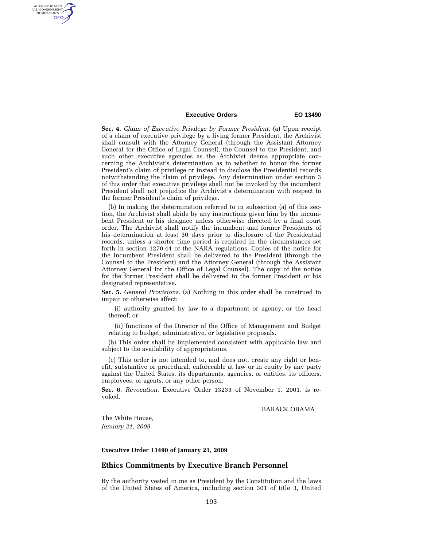**Sec. 4.** *Claim of Executive Privilege by Former President.* (a) Upon receipt of a claim of executive privilege by a living former President, the Archivist shall consult with the Attorney General (through the Assistant Attorney General for the Office of Legal Counsel), the Counsel to the President, and such other executive agencies as the Archivist deems appropriate concerning the Archivist's determination as to whether to honor the former President's claim of privilege or instead to disclose the Presidential records notwithstanding the claim of privilege. Any determination under section 3 of this order that executive privilege shall not be invoked by the incumbent President shall not prejudice the Archivist's determination with respect to the former President's claim of privilege.

(b) In making the determination referred to in subsection (a) of this section, the Archivist shall abide by any instructions given him by the incumbent President or his designee unless otherwise directed by a final court order. The Archivist shall notify the incumbent and former Presidents of his determination at least 30 days prior to disclosure of the Presidential records, unless a shorter time period is required in the circumstances set forth in section 1270.44 of the NARA regulations. Copies of the notice for the incumbent President shall be delivered to the President (through the Counsel to the President) and the Attorney General (through the Assistant Attorney General for the Office of Legal Counsel). The copy of the notice for the former President shall be delivered to the former President or his designated representative.

**Sec. 5.** *General Provisions.* (a) Nothing in this order shall be construed to impair or otherwise affect:

(i) authority granted by law to a department or agency, or the head thereof; or

(ii) functions of the Director of the Office of Management and Budget relating to budget, administrative, or legislative proposals.

(b) This order shall be implemented consistent with applicable law and subject to the availability of appropriations.

(c) This order is not intended to, and does not, create any right or benefit, substantive or procedural, enforceable at law or in equity by any party against the United States, its departments, agencies, or entities, its officers, employees, or agents, or any other person.

**Sec. 6.** *Revocation.* Executive Order 13233 of November 1, 2001, is revoked.

BARACK OBAMA

The White House, *January 21, 2009.* 

AUTHENTICATED<br>U.S. GOVERNMENT<br>INFORMATION GPO

# **Executive Order 13490 of January 21, 2009**

### **Ethics Commitments by Executive Branch Personnel**

By the authority vested in me as President by the Constitution and the laws of the United States of America, including section 301 of title 3, United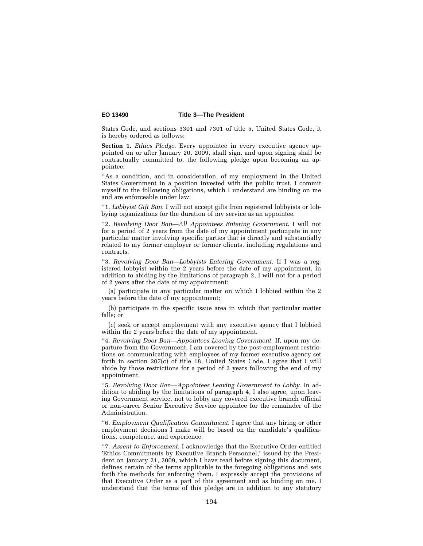#### **EO 13490 Title 3—The President**

States Code, and sections 3301 and 7301 of title 5, United States Code, it is hereby ordered as follows:

**Section 1.** *Ethics Pledge.* Every appointee in every executive agency appointed on or after January 20, 2009, shall sign, and upon signing shall be contractually committed to, the following pledge upon becoming an appointee:

''As a condition, and in consideration, of my employment in the United States Government in a position invested with the public trust, I commit myself to the following obligations, which I understand are binding on me and are enforceable under law:

''1. *Lobbyist Gift Ban*. I will not accept gifts from registered lobbyists or lobbying organizations for the duration of my service as an appointee.

''2. *Revolving Door Ban—All Appointees Entering Government*. I will not for a period of 2 years from the date of my appointment participate in any particular matter involving specific parties that is directly and substantially related to my former employer or former clients, including regulations and contracts.

''3. *Revolving Door Ban—Lobbyists Entering Government*. If I was a registered lobbyist within the 2 years before the date of my appointment, in addition to abiding by the limitations of paragraph 2, I will not for a period of 2 years after the date of my appointment:

(a) participate in any particular matter on which I lobbied within the 2 years before the date of my appointment;

(b) participate in the specific issue area in which that particular matter falls; or

(c) seek or accept employment with any executive agency that I lobbied within the 2 years before the date of my appointment.

''4. *Revolving Door Ban—Appointees Leaving Government*. If, upon my departure from the Government, I am covered by the post-employment restrictions on communicating with employees of my former executive agency set forth in section 207(c) of title 18, United States Code, I agree that I will abide by those restrictions for a period of 2 years following the end of my appointment.

''5. *Revolving Door Ban—Appointees Leaving Government to Lobby*. In addition to abiding by the limitations of paragraph 4, I also agree, upon leaving Government service, not to lobby any covered executive branch official or non-career Senior Executive Service appointee for the remainder of the Administration.

''6. *Employment Qualification Commitment*. I agree that any hiring or other employment decisions I make will be based on the candidate's qualifications, competence, and experience.

''7. *Assent to Enforcement*. I acknowledge that the Executive Order entitled 'Ethics Commitments by Executive Branch Personnel,' issued by the President on January 21, 2009, which I have read before signing this document, defines certain of the terms applicable to the foregoing obligations and sets forth the methods for enforcing them. I expressly accept the provisions of that Executive Order as a part of this agreement and as binding on me. I understand that the terms of this pledge are in addition to any statutory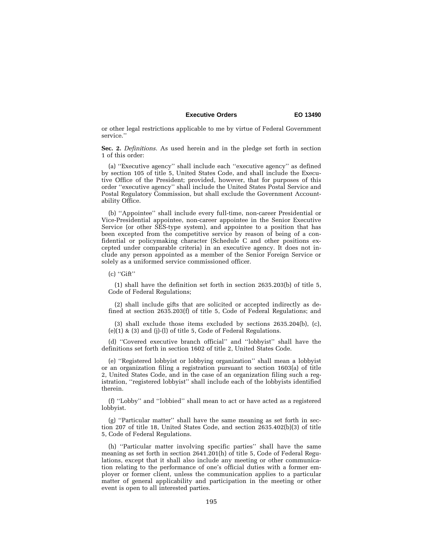or other legal restrictions applicable to me by virtue of Federal Government service.''

**Sec. 2.** *Definitions.* As used herein and in the pledge set forth in section 1 of this order:

(a) ''Executive agency'' shall include each ''executive agency'' as defined by section 105 of title 5, United States Code, and shall include the Executive Office of the President; provided, however, that for purposes of this order ''executive agency'' shall include the United States Postal Service and Postal Regulatory Commission, but shall exclude the Government Accountability Office.

(b) ''Appointee'' shall include every full-time, non-career Presidential or Vice-Presidential appointee, non-career appointee in the Senior Executive Service (or other SES-type system), and appointee to a position that has been excepted from the competitive service by reason of being of a confidential or policymaking character (Schedule C and other positions excepted under comparable criteria) in an executive agency. It does not include any person appointed as a member of the Senior Foreign Service or solely as a uniformed service commissioned officer.

(c) ''Gift''

(1) shall have the definition set forth in section 2635.203(b) of title 5, Code of Federal Regulations;

(2) shall include gifts that are solicited or accepted indirectly as defined at section 2635.203(f) of title 5, Code of Federal Regulations; and

(3) shall exclude those items excluded by sections 2635.204(b), (c),  $(e)(1)$  &  $(3)$  and  $(i)$ - $(l)$  of title 5, Code of Federal Regulations.

(d) ''Covered executive branch official'' and ''lobbyist'' shall have the definitions set forth in section 1602 of title 2, United States Code.

(e) ''Registered lobbyist or lobbying organization'' shall mean a lobbyist or an organization filing a registration pursuant to section 1603(a) of title 2, United States Code, and in the case of an organization filing such a registration, ''registered lobbyist'' shall include each of the lobbyists identified therein.

(f) ''Lobby'' and ''lobbied'' shall mean to act or have acted as a registered lobbyist.

(g) ''Particular matter'' shall have the same meaning as set forth in section 207 of title 18, United States Code, and section 2635.402(b)(3) of title 5, Code of Federal Regulations.

(h) ''Particular matter involving specific parties'' shall have the same meaning as set forth in section 2641.201(h) of title 5, Code of Federal Regulations, except that it shall also include any meeting or other communication relating to the performance of one's official duties with a former employer or former client, unless the communication applies to a particular matter of general applicability and participation in the meeting or other event is open to all interested parties.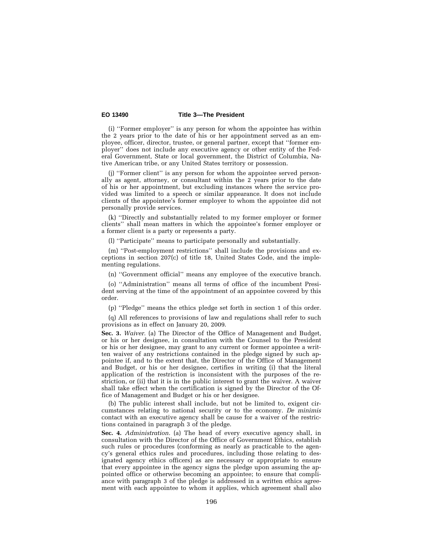### **EO 13490 Title 3—The President**

(i) ''Former employer'' is any person for whom the appointee has within the 2 years prior to the date of his or her appointment served as an employee, officer, director, trustee, or general partner, except that ''former employer'' does not include any executive agency or other entity of the Federal Government, State or local government, the District of Columbia, Native American tribe, or any United States territory or possession.

(j) ''Former client'' is any person for whom the appointee served personally as agent, attorney, or consultant within the 2 years prior to the date of his or her appointment, but excluding instances where the service provided was limited to a speech or similar appearance. It does not include clients of the appointee's former employer to whom the appointee did not personally provide services.

(k) ''Directly and substantially related to my former employer or former clients'' shall mean matters in which the appointee's former employer or a former client is a party or represents a party.

(l) ''Participate'' means to participate personally and substantially.

(m) ''Post-employment restrictions'' shall include the provisions and exceptions in section 207(c) of title 18, United States Code, and the implementing regulations.

(n) ''Government official'' means any employee of the executive branch.

(o) ''Administration'' means all terms of office of the incumbent President serving at the time of the appointment of an appointee covered by this order.

(p) ''Pledge'' means the ethics pledge set forth in section 1 of this order.

(q) All references to provisions of law and regulations shall refer to such provisions as in effect on January 20, 2009.

**Sec. 3.** *Waiver.* (a) The Director of the Office of Management and Budget, or his or her designee, in consultation with the Counsel to the President or his or her designee, may grant to any current or former appointee a written waiver of any restrictions contained in the pledge signed by such appointee if, and to the extent that, the Director of the Office of Management and Budget, or his or her designee, certifies in writing (i) that the literal application of the restriction is inconsistent with the purposes of the restriction, or (ii) that it is in the public interest to grant the waiver. A waiver shall take effect when the certification is signed by the Director of the Office of Management and Budget or his or her designee.

(b) The public interest shall include, but not be limited to, exigent circumstances relating to national security or to the economy. *De minimis*  contact with an executive agency shall be cause for a waiver of the restrictions contained in paragraph 3 of the pledge.

**Sec. 4.** *Administration.* (a) The head of every executive agency shall, in consultation with the Director of the Office of Government Ethics, establish such rules or procedures (conforming as nearly as practicable to the agency's general ethics rules and procedures, including those relating to designated agency ethics officers) as are necessary or appropriate to ensure that every appointee in the agency signs the pledge upon assuming the appointed office or otherwise becoming an appointee; to ensure that compliance with paragraph 3 of the pledge is addressed in a written ethics agreement with each appointee to whom it applies, which agreement shall also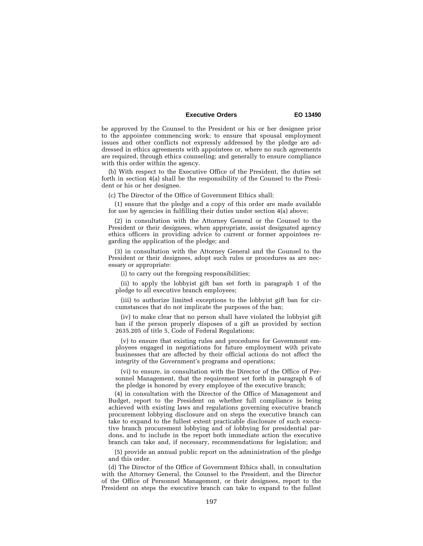be approved by the Counsel to the President or his or her designee prior to the appointee commencing work; to ensure that spousal employment issues and other conflicts not expressly addressed by the pledge are addressed in ethics agreements with appointees or, where no such agreements are required, through ethics counseling; and generally to ensure compliance with this order within the agency.

(b) With respect to the Executive Office of the President, the duties set forth in section 4(a) shall be the responsibility of the Counsel to the President or his or her designee.

(c) The Director of the Office of Government Ethics shall:

(1) ensure that the pledge and a copy of this order are made available for use by agencies in fulfilling their duties under section 4(a) above;

(2) in consultation with the Attorney General or the Counsel to the President or their designees, when appropriate, assist designated agency ethics officers in providing advice to current or former appointees regarding the application of the pledge; and

(3) in consultation with the Attorney General and the Counsel to the President or their designees, adopt such rules or procedures as are necessary or appropriate:

(i) to carry out the foregoing responsibilities;

(ii) to apply the lobbyist gift ban set forth in paragraph 1 of the pledge to all executive branch employees;

(iii) to authorize limited exceptions to the lobbyist gift ban for circumstances that do not implicate the purposes of the ban;

(iv) to make clear that no person shall have violated the lobbyist gift ban if the person properly disposes of a gift as provided by section 2635.205 of title 5, Code of Federal Regulations;

(v) to ensure that existing rules and procedures for Government employees engaged in negotiations for future employment with private businesses that are affected by their official actions do not affect the integrity of the Government's programs and operations;

(vi) to ensure, in consultation with the Director of the Office of Personnel Management, that the requirement set forth in paragraph 6 of the pledge is honored by every employee of the executive branch;

(4) in consultation with the Director of the Office of Management and Budget, report to the President on whether full compliance is being achieved with existing laws and regulations governing executive branch procurement lobbying disclosure and on steps the executive branch can take to expand to the fullest extent practicable disclosure of such executive branch procurement lobbying and of lobbying for presidential pardons, and to include in the report both immediate action the executive branch can take and, if necessary, recommendations for legislation; and

(5) provide an annual public report on the administration of the pledge and this order.

(d) The Director of the Office of Government Ethics shall, in consultation with the Attorney General, the Counsel to the President, and the Director of the Office of Personnel Management, or their designees, report to the President on steps the executive branch can take to expand to the fullest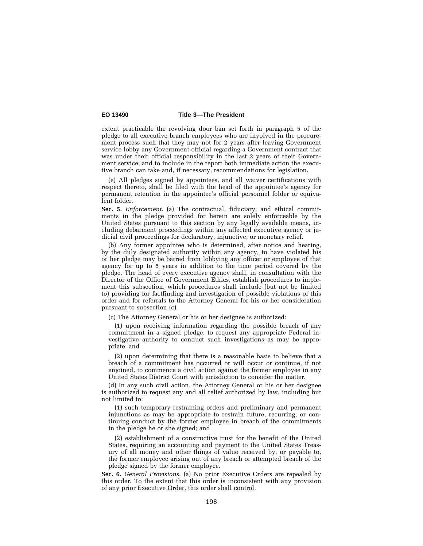### **EO 13490 Title 3—The President**

extent practicable the revolving door ban set forth in paragraph 5 of the pledge to all executive branch employees who are involved in the procurement process such that they may not for 2 years after leaving Government service lobby any Government official regarding a Government contract that was under their official responsibility in the last 2 years of their Government service; and to include in the report both immediate action the executive branch can take and, if necessary, recommendations for legislation.

(e) All pledges signed by appointees, and all waiver certifications with respect thereto, shall be filed with the head of the appointee's agency for permanent retention in the appointee's official personnel folder or equivalent folder.

**Sec. 5.** *Enforcement.* (a) The contractual, fiduciary, and ethical commitments in the pledge provided for herein are solely enforceable by the United States pursuant to this section by any legally available means, including debarment proceedings within any affected executive agency or judicial civil proceedings for declaratory, injunctive, or monetary relief.

(b) Any former appointee who is determined, after notice and hearing, by the duly designated authority within any agency, to have violated his or her pledge may be barred from lobbying any officer or employee of that agency for up to 5 years in addition to the time period covered by the pledge. The head of every executive agency shall, in consultation with the Director of the Office of Government Ethics, establish procedures to implement this subsection, which procedures shall include (but not be limited to) providing for factfinding and investigation of possible violations of this order and for referrals to the Attorney General for his or her consideration pursuant to subsection (c).

(c) The Attorney General or his or her designee is authorized:

(1) upon receiving information regarding the possible breach of any commitment in a signed pledge, to request any appropriate Federal investigative authority to conduct such investigations as may be appropriate; and

(2) upon determining that there is a reasonable basis to believe that a breach of a commitment has occurred or will occur or continue, if not enjoined, to commence a civil action against the former employee in any United States District Court with jurisdiction to consider the matter.

(d) In any such civil action, the Attorney General or his or her designee is authorized to request any and all relief authorized by law, including but not limited to:

(1) such temporary restraining orders and preliminary and permanent injunctions as may be appropriate to restrain future, recurring, or continuing conduct by the former employee in breach of the commitments in the pledge he or she signed; and

(2) establishment of a constructive trust for the benefit of the United States, requiring an accounting and payment to the United States Treasury of all money and other things of value received by, or payable to, the former employee arising out of any breach or attempted breach of the pledge signed by the former employee.

**Sec. 6.** *General Provisions.* (a) No prior Executive Orders are repealed by this order. To the extent that this order is inconsistent with any provision of any prior Executive Order, this order shall control.